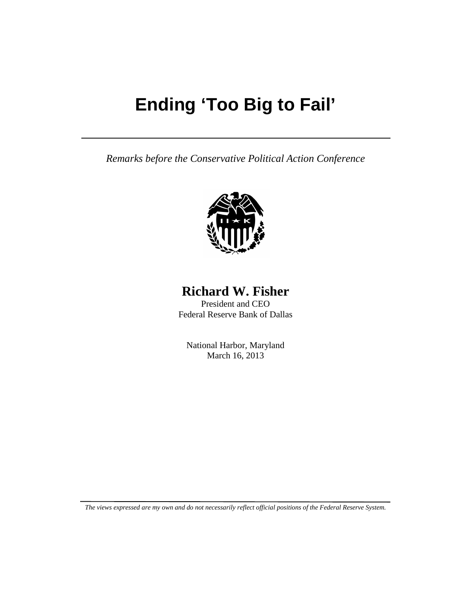# **Ending 'Too Big to Fail'**

*Remarks before the Conservative Political Action Conference*



## **Richard W. Fisher**

President and CEO Federal Reserve Bank of Dallas

National Harbor, Maryland March 16, 2013

*The views expressed are my own and do not necessarily reflect official positions of the Federal Reserve System.*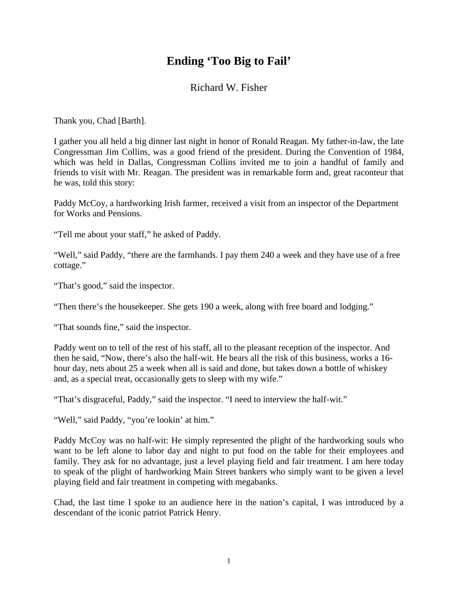### **Ending 'Too Big to Fail'**

#### Richard W. Fisher

Thank you, Chad [Barth].

I gather you all held a big dinner last night in honor of Ronald Reagan. My father-in-law, the late Congressman Jim Collins, was a good friend of the president. During the Convention of 1984, which was held in Dallas, Congressman Collins invited me to join a handful of family and friends to visit with Mr. Reagan. The president was in remarkable form and, great raconteur that he was, told this story:

Paddy McCoy, a hardworking Irish farmer, received a visit from an inspector of the Department for Works and Pensions.

"Tell me about your staff," he asked of Paddy.

"Well," said Paddy, "there are the farmhands. I pay them 240 a week and they have use of a free cottage."

"That's good," said the inspector.

"Then there's the housekeeper. She gets 190 a week, along with free board and lodging."

"That sounds fine," said the inspector.

Paddy went on to tell of the rest of his staff, all to the pleasant reception of the inspector. And then he said, "Now, there's also the half-wit. He bears all the risk of this business, works a 16 hour day, nets about 25 a week when all is said and done, but takes down a bottle of whiskey and, as a special treat, occasionally gets to sleep with my wife."

"That's disgraceful, Paddy," said the inspector. "I need to interview the half-wit."

"Well," said Paddy, "you're lookin' at him."

Paddy McCoy was no half-wit: He simply represented the plight of the hardworking souls who want to be left alone to labor day and night to put food on the table for their employees and family. They ask for no advantage, just a level playing field and fair treatment. I am here today to speak of the plight of hardworking Main Street bankers who simply want to be given a level playing field and fair treatment in competing with megabanks.

Chad, the last time I spoke to an audience here in the nation's capital, I was introduced by a descendant of the iconic patriot Patrick Henry.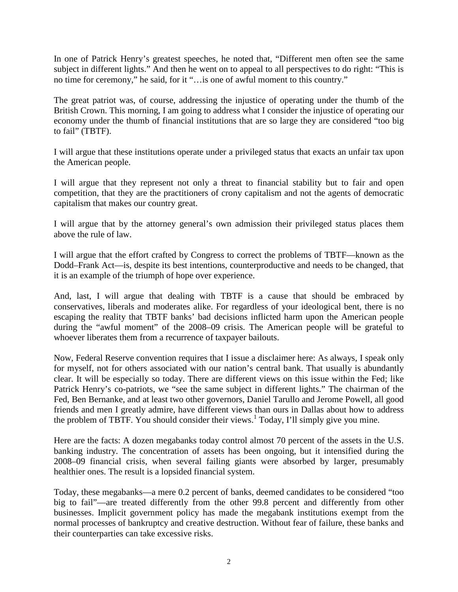In one of Patrick Henry's greatest speeches, he noted that, "Different men often see the same subject in different lights." And then he went on to appeal to all perspectives to do right: "This is no time for ceremony," he said, for it "…is one of awful moment to this country."

The great patriot was, of course, addressing the injustice of operating under the thumb of the British Crown. This morning, I am going to address what I consider the injustice of operating our economy under the thumb of financial institutions that are so large they are considered "too big to fail" (TBTF).

I will argue that these institutions operate under a privileged status that exacts an unfair tax upon the American people.

I will argue that they represent not only a threat to financial stability but to fair and open competition, that they are the practitioners of crony capitalism and not the agents of democratic capitalism that makes our country great.

I will argue that by the attorney general's own admission their privileged status places them above the rule of law.

I will argue that the effort crafted by Congress to correct the problems of TBTF—known as the Dodd–Frank Act—is, despite its best intentions, counterproductive and needs to be changed, that it is an example of the triumph of hope over experience.

And, last, I will argue that dealing with TBTF is a cause that should be embraced by conservatives, liberals and moderates alike. For regardless of your ideological bent, there is no escaping the reality that TBTF banks' bad decisions inflicted harm upon the American people during the "awful moment" of the 2008–09 crisis. The American people will be grateful to whoever liberates them from a recurrence of taxpayer bailouts.

Now, Federal Reserve convention requires that I issue a disclaimer here: As always, I speak only for myself, not for others associated with our nation's central bank. That usually is abundantly clear. It will be especially so today. There are different views on this issue within the Fed; like Patrick Henry's co-patriots, we "see the same subject in different lights." The chairman of the Fed, Ben Bernanke, and at least two other governors, Daniel Tarullo and Jerome Powell, all good friends and men I greatly admire, have different views than ours in Dallas about how to address the problem of TBTF. You should consider their views.<sup>1</sup> Today, I'll simply give you mine.

Here are the facts: A dozen megabanks today control almost 70 percent of the assets in the U.S. banking industry. The concentration of assets has been ongoing, but it intensified during the 2008–09 financial crisis, when several failing giants were absorbed by larger, presumably healthier ones. The result is a lopsided financial system.

Today, these megabanks—a mere 0.2 percent of banks, deemed candidates to be considered "too big to fail"—are treated differently from the other 99.8 percent and differently from other businesses. Implicit government policy has made the megabank institutions exempt from the normal processes of bankruptcy and creative destruction. Without fear of failure, these banks and their counterparties can take excessive risks.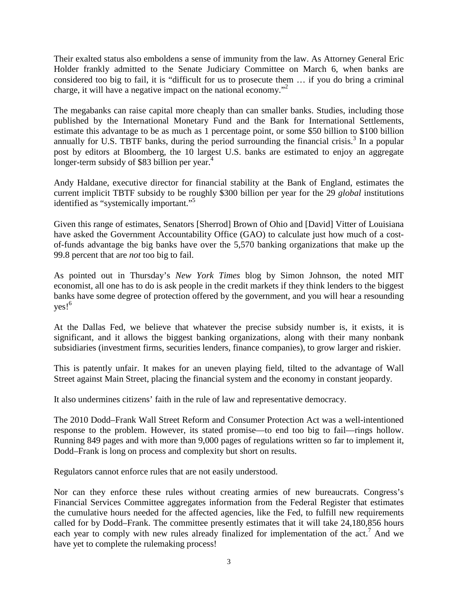Their exalted status also emboldens a sense of immunity from the law. As Attorney General Eric Holder frankly admitted to the Senate Judiciary Committee on March 6, when banks are considered too big to fail, it is "difficult for us to prosecute them … if you do bring a criminal charge, it will have a negative impact on the national economy."2

The megabanks can raise capital more cheaply than can smaller banks. Studies, including those published by the International Monetary Fund and the Bank for International Settlements, estimate this advantage to be as much as 1 percentage point, or some \$50 billion to \$100 billion annually for U.S. TBTF banks, during the period surrounding the financial crisis.<sup>3</sup> In a popular post by editors at Bloomberg, the 10 largest U.S. banks are estimated to enjoy an aggregate longer-term subsidy of \$83 billion per year.<sup>4</sup>

Andy Haldane, executive director for financial stability at the Bank of England, estimates the current implicit TBTF subsidy to be roughly \$300 billion per year for the 29 *global* institutions identified as "systemically important."5

Given this range of estimates, Senators [Sherrod] Brown of Ohio and [David] Vitter of Louisiana have asked the Government Accountability Office (GAO) to calculate just how much of a costof-funds advantage the big banks have over the 5,570 banking organizations that make up the 99.8 percent that are *not* too big to fail.

As pointed out in Thursday's *New York Times* blog by Simon Johnson, the noted MIT economist, all one has to do is ask people in the credit markets if they think lenders to the biggest banks have some degree of protection offered by the government, and you will hear a resounding  $ves!^6$ 

At the Dallas Fed, we believe that whatever the precise subsidy number is, it exists, it is significant, and it allows the biggest banking organizations, along with their many nonbank subsidiaries (investment firms, securities lenders, finance companies), to grow larger and riskier.

This is patently unfair. It makes for an uneven playing field, tilted to the advantage of Wall Street against Main Street, placing the financial system and the economy in constant jeopardy.

It also undermines citizens' faith in the rule of law and representative democracy.

The 2010 Dodd–Frank Wall Street Reform and Consumer Protection Act was a well-intentioned response to the problem. However, its stated promise—to end too big to fail—rings hollow. Running 849 pages and with more than 9,000 pages of regulations written so far to implement it, Dodd–Frank is long on process and complexity but short on results.

Regulators cannot enforce rules that are not easily understood.

Nor can they enforce these rules without creating armies of new bureaucrats. Congress's Financial Services Committee aggregates information from the Federal Register that estimates the cumulative hours needed for the affected agencies, like the Fed, to fulfill new requirements called for by Dodd–Frank. The committee presently estimates that it will take 24,180,856 hours each year to comply with new rules already finalized for implementation of the  $act<sup>7</sup>$  And we have yet to complete the rulemaking process!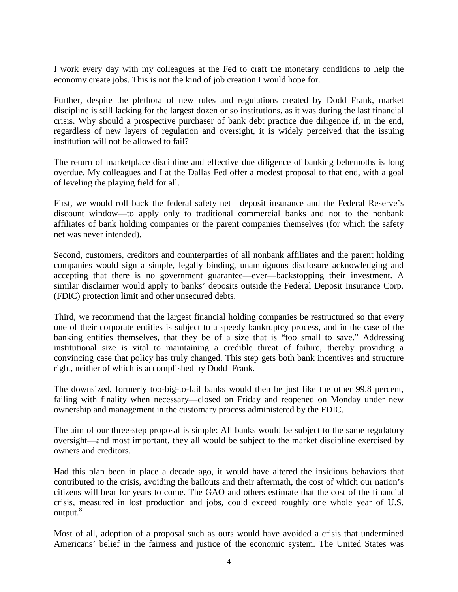I work every day with my colleagues at the Fed to craft the monetary conditions to help the economy create jobs. This is not the kind of job creation I would hope for.

Further, despite the plethora of new rules and regulations created by Dodd–Frank, market discipline is still lacking for the largest dozen or so institutions, as it was during the last financial crisis. Why should a prospective purchaser of bank debt practice due diligence if, in the end, regardless of new layers of regulation and oversight, it is widely perceived that the issuing institution will not be allowed to fail?

The return of marketplace discipline and effective due diligence of banking behemoths is long overdue. My colleagues and I at the Dallas Fed offer a modest proposal to that end, with a goal of leveling the playing field for all.

First, we would roll back the federal safety net—deposit insurance and the Federal Reserve's discount window—to apply only to traditional commercial banks and not to the nonbank affiliates of bank holding companies or the parent companies themselves (for which the safety net was never intended).

Second, customers, creditors and counterparties of all nonbank affiliates and the parent holding companies would sign a simple, legally binding, unambiguous disclosure acknowledging and accepting that there is no government guarantee—ever—backstopping their investment. A similar disclaimer would apply to banks' deposits outside the Federal Deposit Insurance Corp. (FDIC) protection limit and other unsecured debts.

Third, we recommend that the largest financial holding companies be restructured so that every one of their corporate entities is subject to a speedy bankruptcy process, and in the case of the banking entities themselves, that they be of a size that is "too small to save." Addressing institutional size is vital to maintaining a credible threat of failure, thereby providing a convincing case that policy has truly changed. This step gets both bank incentives and structure right, neither of which is accomplished by Dodd–Frank.

The downsized, formerly too-big-to-fail banks would then be just like the other 99.8 percent, failing with finality when necessary—closed on Friday and reopened on Monday under new ownership and management in the customary process administered by the FDIC.

The aim of our three-step proposal is simple: All banks would be subject to the same regulatory oversight—and most important, they all would be subject to the market discipline exercised by owners and creditors.

Had this plan been in place a decade ago, it would have altered the insidious behaviors that contributed to the crisis, avoiding the bailouts and their aftermath, the cost of which our nation's citizens will bear for years to come. The GAO and others estimate that the cost of the financial crisis, measured in lost production and jobs, could exceed roughly one whole year of U.S. output.<sup>8</sup>

Most of all, adoption of a proposal such as ours would have avoided a crisis that undermined Americans' belief in the fairness and justice of the economic system. The United States was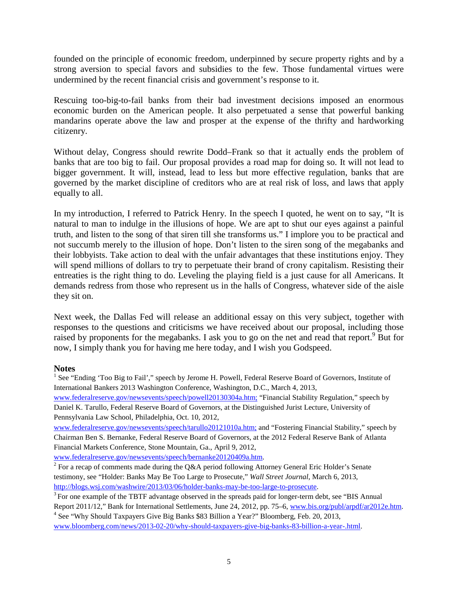founded on the principle of economic freedom, underpinned by secure property rights and by a strong aversion to special favors and subsidies to the few. Those fundamental virtues were undermined by the recent financial crisis and government's response to it.

Rescuing too-big-to-fail banks from their bad investment decisions imposed an enormous economic burden on the American people. It also perpetuated a sense that powerful banking mandarins operate above the law and prosper at the expense of the thrifty and hardworking citizenry.

Without delay, Congress should rewrite Dodd–Frank so that it actually ends the problem of banks that are too big to fail. Our proposal provides a road map for doing so. It will not lead to bigger government. It will, instead, lead to less but more effective regulation, banks that are governed by the market discipline of creditors who are at real risk of loss, and laws that apply equally to all.

In my introduction, I referred to Patrick Henry. In the speech I quoted, he went on to say, "It is natural to man to indulge in the illusions of hope. We are apt to shut our eyes against a painful truth, and listen to the song of that siren till she transforms us." I implore you to be practical and not succumb merely to the illusion of hope. Don't listen to the siren song of the megabanks and their lobbyists. Take action to deal with the unfair advantages that these institutions enjoy. They will spend millions of dollars to try to perpetuate their brand of crony capitalism. Resisting their entreaties is the right thing to do. Leveling the playing field is a just cause for all Americans. It demands redress from those who represent us in the halls of Congress, whatever side of the aisle they sit on.

Next week, the Dallas Fed will release an additional essay on this very subject, together with responses to the questions and criticisms we have received about our proposal, including those raised by proponents for the megabanks. I ask you to go on the net and read that report.<sup>9</sup> But for now, I simply thank you for having me here today, and I wish you Godspeed.

#### **Notes**

<sup>1</sup> See "Ending 'Too Big to Fail'," speech by Jerome H. Powell, Federal Reserve Board of Governors, Institute of International Bankers 2013 Washington Conference, Washington, D.C., March 4, 2013,

[www.federalreserve.gov/newsevents/speech/powell20130304a.htm;](http://www.federalreserve.gov/newsevents/speech/powell20130304a.htm) "Financial Stability Regulation," speech by Daniel K. Tarullo, Federal Reserve Board of Governors, at the Distinguished Jurist Lecture, University of Pennsylvania Law School, Philadelphia, Oct. 10, 2012,

[www.federalreserve.gov/newsevents/speech/tarullo20121010a.htm;](http://www.federalreserve.gov/newsevents/speech/tarullo20121010a.htm) and "Fostering Financial Stability," speech by Chairman Ben S. Bernanke, Federal Reserve Board of Governors, at the 2012 Federal Reserve Bank of Atlanta Financial Markets Conference, Stone Mountain, Ga., April 9, 2012,

[www.federalreserve.gov/newsevents/speech/bernanke20120409a.htm.](http://www.federalreserve.gov/newsevents/speech/bernanke20120409a.htm)

<sup>2</sup> For a recap of comments made during the Q&A period following Attorney General Eric Holder's Senate testimony, see "Holder: Banks May Be Too Large to Prosecute," *Wall Street Journal*, March 6, 2013, [http://blogs.wsj.com/washwire/2013/03/06/holder-banks-may-be-too-large-to-prosecute.](http://blogs.wsj.com/washwire/2013/03/06/holder-banks-may-be-too-large-to-prosecute)

<sup>3</sup> For one example of the TBTF advantage observed in the spreads paid for longer-term debt, see "BIS Annual"

Report 2011/12," Bank for International Settlements, June 24, 2012, pp. 75–6, [www.bis.org/publ/arpdf/ar2012e.htm.](http://www.bis.org/publ/arpdf/ar2012e.htm) <sup>4</sup> See "Why Should Taxpayers Give Big Banks \$83 Billion a Year?" Bloomberg, Feb. 20, 2013,

[www.bloomberg.com/news/2013-02-20/why-should-taxpayers-give-big-banks-83-billion-a-year-.html.](http://www.bloomberg.com/news/2013-02-20/why-should-taxpayers-give-big-banks-83-billion-a-year-.html)